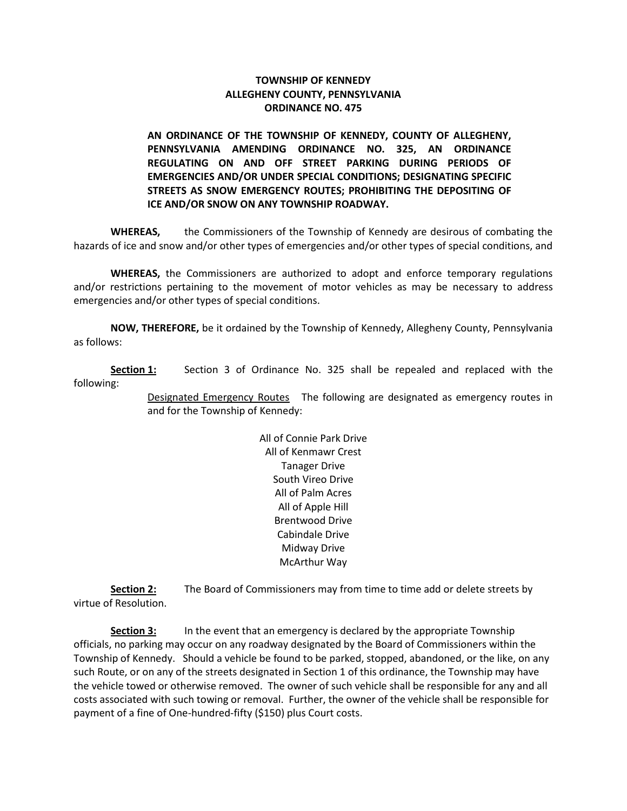## **TOWNSHIP OF KENNEDY ALLEGHENY COUNTY, PENNSYLVANIA ORDINANCE NO. 475**

**AN ORDINANCE OF THE TOWNSHIP OF KENNEDY, COUNTY OF ALLEGHENY, PENNSYLVANIA AMENDING ORDINANCE NO. 325, AN ORDINANCE REGULATING ON AND OFF STREET PARKING DURING PERIODS OF EMERGENCIES AND/OR UNDER SPECIAL CONDITIONS; DESIGNATING SPECIFIC STREETS AS SNOW EMERGENCY ROUTES; PROHIBITING THE DEPOSITING OF ICE AND/OR SNOW ON ANY TOWNSHIP ROADWAY.**

**WHEREAS,** the Commissioners of the Township of Kennedy are desirous of combating the hazards of ice and snow and/or other types of emergencies and/or other types of special conditions, and

**WHEREAS,** the Commissioners are authorized to adopt and enforce temporary regulations and/or restrictions pertaining to the movement of motor vehicles as may be necessary to address emergencies and/or other types of special conditions.

**NOW, THEREFORE,** be it ordained by the Township of Kennedy, Allegheny County, Pennsylvania as follows:

**Section 1:** Section 3 of Ordinance No. 325 shall be repealed and replaced with the following:

> Designated Emergency Routes The following are designated as emergency routes in and for the Township of Kennedy:

> > All of Connie Park Drive All of Kenmawr Crest Tanager Drive South Vireo Drive All of Palm Acres All of Apple Hill Brentwood Drive Cabindale Drive Midway Drive McArthur Way

**Section 2:** The Board of Commissioners may from time to time add or delete streets by virtue of Resolution.

**Section 3:** In the event that an emergency is declared by the appropriate Township officials, no parking may occur on any roadway designated by the Board of Commissioners within the Township of Kennedy. Should a vehicle be found to be parked, stopped, abandoned, or the like, on any such Route, or on any of the streets designated in Section 1 of this ordinance, the Township may have the vehicle towed or otherwise removed. The owner of such vehicle shall be responsible for any and all costs associated with such towing or removal. Further, the owner of the vehicle shall be responsible for payment of a fine of One-hundred-fifty (\$150) plus Court costs.